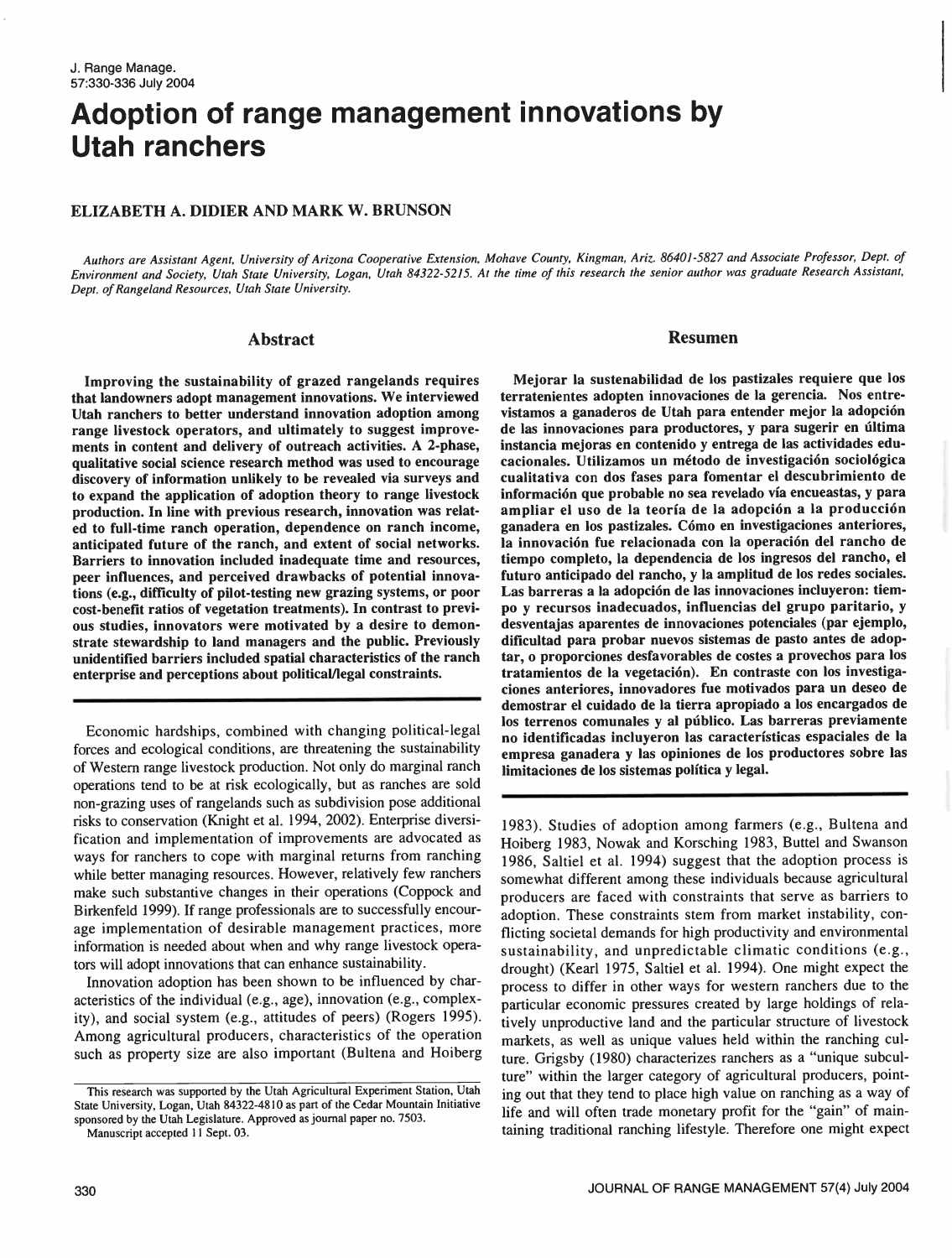# Adoption of range management innovations by Utah ranchers

## ELIZABETH A. DIDIER AND MARK W. BRUNSON

Authors are Assistant Agent, University of Arizona Cooperative Extension, Mohave County, Kingman, Ariz. 86401 -5827 and Associate Professor, Dept. of Environment and Society, Utah State University, Logan, Utah 84322 -5215. At the time of this research the senior author was graduate Research Assistant, Dept. of Rangeland Resources, Utah State University.

#### Abstract

Improving the sustainability of grazed rangelands requires that landowners adopt management innovations. We interviewed Utah ranchers to better understand innovation adoption among range livestock operators, and ultimately to suggest improvements in content and delivery of outreach activities. A 2-phase, qualitative social science research method was used to encourage discovery of information unlikely to be revealed via surveys and to expand the application of adoption theory to range livestock production. In line with previous research, innovation was related to full-time ranch operation, dependence on ranch income, anticipated future of the ranch, and extent of social networks. Barriers to innovation included inadequate time and resources, peer influences, and perceived drawbacks of potential innovations (e.g., difficulty of pilot- testing new grazing systems, or poor cost-benefit ratios of vegetation treatments). In contrast to previous studies, innovators were motivated by a desire to demonstrate stewardship to land managers and the public. Previously unidentified barriers included spatial characteristics of the ranch enterprise and perceptions about political/legal constraints.

Economic hardships, combined with changing political -legal forces and ecological conditions, are threatening the sustainability of Western range livestock production. Not only do marginal ranch operations tend to be at risk ecologically, but as ranches are sold non grazing uses of rangelands such as subdivision pose additional risks to conservation (Knight et al. 1994, 2002). Enterprise diversification and implementation of improvements are advocated as ways for ranchers to cope with marginal returns from ranching while better managing resources. However, relatively few ranchers make such substantive changes in their operations (Coppock and Birkenfeld 1999). If range professionals are to successfully encourage implementation of desirable management practices, more information is needed about when and why range livestock operators will adopt innovations that can enhance sustainability.

Innovation adoption has been shown to be influenced by characteristics of the individual (e.g., age), innovation (e.g., complexity), and social system (e.g., attitudes of peers) (Rogers 1995). Among agricultural producers, characteristics of the operation such as property size are also important (Bultena and Hoiberg

#### Resumen

Mejorar la sustenabilidad de los pastizales requiere que los terratenientes adopten innovaciones de la gerencia. Nos entrevistamos a ganaderos de Utah para entender mejor la adopción de las innovaciones para productores, y para sugerir en última instancia mejoras en contenido y entrega de las actividades educacionales. Utilizamos un método de investigación sociológica cualitativa con dos fases para fomentar el descubrimiento de información que probable no sea revelado vía encueastas, y para ampliar el uso de la teoría de la adopción a la producción ganadera en los pastizales. Cómo en investigaciones anteriores, la innovación fue relacionada con la operación del rancho de tiempo completo, la dependencia de los ingresos del rancho, el futuro anticipado del rancho, y la amplitud de los redes sociales. Las barreras a la adopción de las innovaciones incluyeron: tiempo y recursos inadecuados, influencias del grupo paritario, y desventajas aparentes de innovaciones potenciales (par ejemplo, dificultad para probar nuevos sistemas de pasto antes de adoptar, o proporciones desfavorables de costes a provechos para los tratamientos de la vegetación). En contraste con los investigaciones anteriores, innovadores fue motivados para un deseo de demostrar el cuidado de la tierra apropiado a los encargados de los terrenos comunales y al público. Las barreras previamente no identificadas incluyeron las características espaciales de la empresa ganadera y las opiniones de los productores sobre las limitaciones de los sistemas política y legal.

1983). Studies of adoption among farmers (e.g., Bultena and Hoiberg 1983, Nowak and Korsching 1983, Buttel and Swanson 1986, Saltiel et al. 1994) suggest that the adoption process is somewhat different among these individuals because agricultural producers are faced with constraints that serve as barriers to adoption. These constraints stem from market instability, conflicting societal demands for high productivity and environmental sustainability, and unpredictable climatic conditions (e.g., drought) (Kearl 1975, Saltiel et al. 1994). One might expect the process to differ in other ways for western ranchers due to the particular economic pressures created by large holdings of relatively unproductive land and the particular structure of livestock markets, as well as unique values held within the ranching culture. Grigsby (1980) characterizes ranchers as a "unique subculture" within the larger category of agricultural producers, pointing out that they tend to place high value on ranching as a way of life and will often trade monetary profit for the "gain" of maintaining traditional ranching lifestyle. Therefore one might expect

This research was supported by the Utah Agricultural Experiment Station, Utah State University, Logan, Utah 84322 -4810 as part of the Cedar Mountain Initiative sponsored by the Utah Legislature. Approved as journal paper no. 7503.

Manuscript accepted 11 Sept. 03.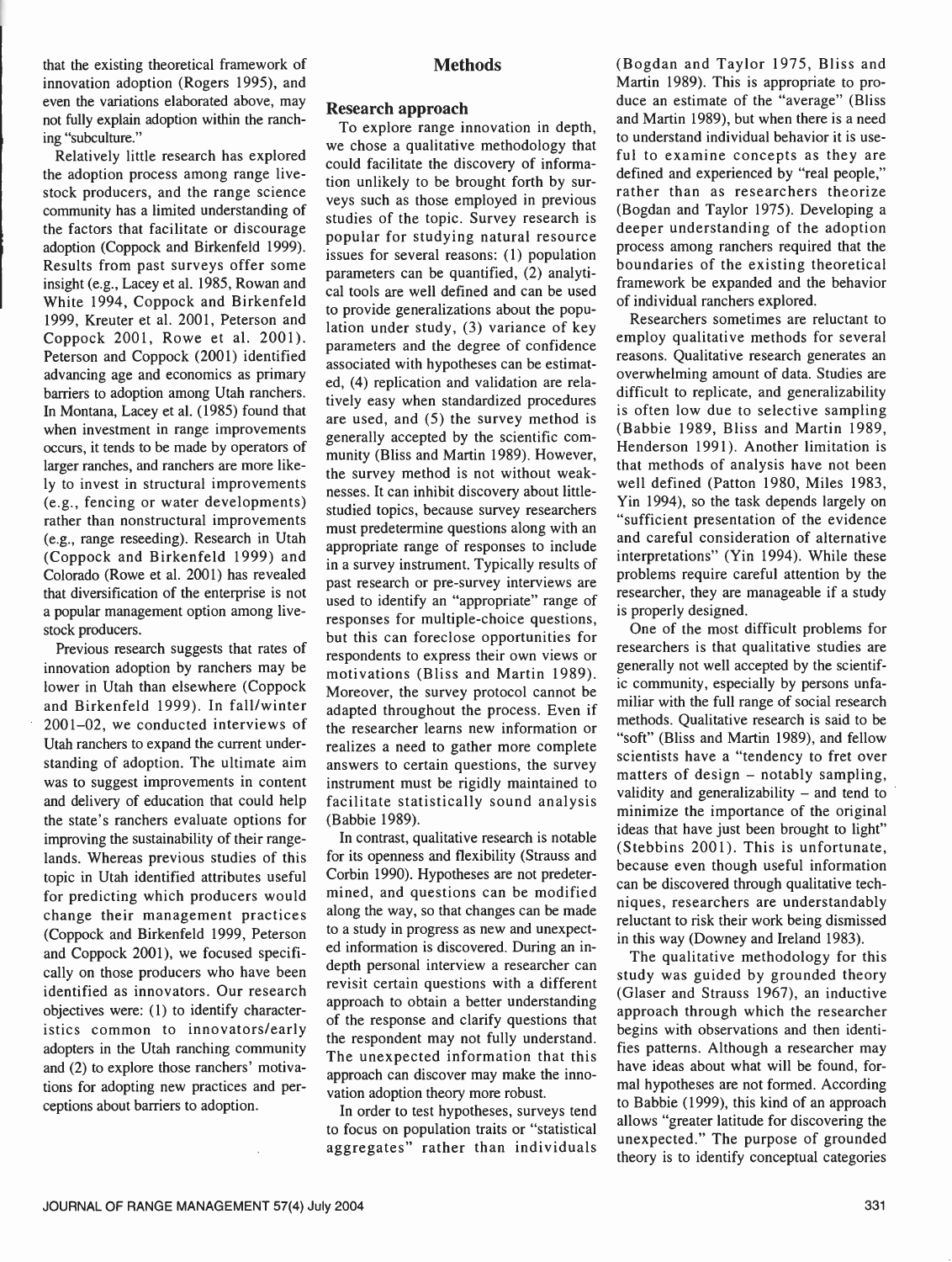that the existing theoretical framework of innovation adoption (Rogers 1995), and even the variations elaborated above, may not fully explain adoption within the ranching "subculture."

Relatively little research has explored the adoption process among range livestock producers, and the range science community has a limited understanding of the factors that facilitate or discourage adoption (Coppock and Birkenfeld 1999). Results from past surveys offer some insight (e.g., Lacey et al. 1985, Rowan and White 1994, Coppock and Birkenfeld 1999, Kreuter et al. 2001, Peterson and Coppock 2001, Rowe et al. 2001). Peterson and Coppock (2001) identified advancing age and economics as primary barriers to adoption among Utah ranchers. In Montana, Lacey et al. (1985) found that when investment in range improvements occurs, it tends to be made by operators of larger ranches, and ranchers are more likely to invest in structural improvements (e.g., fencing or water developments) rather than nonstructural improvements (e.g., range reseeding). Research in Utah (Coppock and Birkenfeld 1999) and Colorado (Rowe et al. 2001) has revealed that diversification of the enterprise is not a popular management option among livestock producers.

Previous research suggests that rates of innovation adoption by ranchers may be lower in Utah than elsewhere (Coppock and Birkenfeld 1999). In fall/winter 2001-02, we conducted interviews of Utah ranchers to expand the current understanding of adoption. The ultimate aim was to suggest improvements in content and delivery of education that could help the state's ranchers evaluate options for improving the sustainability of their rangelands. Whereas previous studies of this topic in Utah identified attributes useful for predicting which producers would change their management practices (Coppock and Birkenfeld 1999, Peterson and Coppock 2001), we focused specifically on those producers who have been identified as innovators. Our research objectives were: (1) to identify characteristics common to innovators/early adopters in the Utah ranching community and (2) to explore those ranchers' motivations for adopting new practices and perceptions about barriers to adoption.

## Methods

#### Research approach

To explore range innovation in depth, we chose a qualitative methodology that could facilitate the discovery of information unlikely to be brought forth by surveys such as those employed in previous studies of the topic. Survey research is popular for studying natural resource issues for several reasons: (1) population parameters can be quantified, (2) analytical tools are well defined and can be used to provide generalizations about the population under study, (3) variance of key parameters and the degree of confidence associated with hypotheses can be estimated, (4) replication and validation are relatively easy when standardized procedures are used, and (5) the survey method is generally accepted by the scientific community (Bliss and Martin 1989). However, the survey method is not without weaknesses. It can inhibit discovery about little studied topics, because survey researchers must predetermine questions along with an appropriate range of responses to include in a survey instrument. Typically results of past research or pre survey interviews are used to identify an "appropriate" range of responses for multiple-choice questions, but this can foreclose opportunities for respondents to express their own views or motivations (Bliss and Martin 1989). Moreover, the survey protocol cannot be adapted throughout the process. Even if the researcher learns new information or realizes a need to gather more complete answers to certain questions, the survey instrument must be rigidly maintained to facilitate statistically sound analysis (Babbie 1989).

In contrast, qualitative research is notable for its openness and flexibility (Strauss and Corbin 1990). Hypotheses are not predetermined, and questions can be modified along the way, so that changes can be made to a study in progress as new and unexpected information is discovered. During an indepth personal interview a researcher can revisit certain questions with a different approach to obtain a better understanding of the response and clarify questions that the respondent may not fully understand. The unexpected information that this approach can discover may make the innovation adoption theory more robust.

In order to test hypotheses, surveys tend to focus on population traits or "statistical aggregates" rather than individuals (Bogdan and Taylor 1975, Bliss and Martin 1989). This is appropriate to produce an estimate of the "average" (Bliss and Martin 1989), but when there is a need to understand individual behavior it is useful to examine concepts as they are defined and experienced by "real people," rather than as researchers theorize (Bogdan and Taylor 1975). Developing a deeper understanding of the adoption process among ranchers required that the boundaries of the existing theoretical framework be expanded and the behavior of individual ranchers explored.

Researchers sometimes are reluctant to employ qualitative methods for several reasons. Qualitative research generates an overwhelming amount of data. Studies are difficult to replicate, and generalizability is often low due to selective sampling (Babbie 1989, Bliss and Martin 1989, Henderson 1991). Another limitation is that methods of analysis have not been well defined (Patton 1980, Miles 1983, Yin 1994), so the task depends largely on "sufficient presentation of the evidence and careful consideration of alternative interpretations" (Yin 1994). While these problems require careful attention by the researcher, they are manageable if a study is properly designed.

One of the most difficult problems for researchers is that qualitative studies are generally not well accepted by the scientific community, especially by persons unfamiliar with the full range of social research methods. Qualitative research is said to be "soft" (Bliss and Martin 1989), and fellow scientists have a "tendency to fret over matters of design  $-$  notably sampling, validity and generalizability  $-$  and tend to minimize the importance of the original ideas that have just been brought to light" (Stebbins 2001). This is unfortunate, because even though useful information can be discovered through qualitative techniques, researchers are understandably reluctant to risk their work being dismissed in this way (Downey and Ireland 1983).

The qualitative methodology for this study was guided by grounded theory (Glaser and Strauss 1967), an inductive approach through which the researcher begins with observations and then identifies patterns. Although a researcher may have ideas about what will be found, formal hypotheses are not formed. According to Babbie (1999), this kind of an approach allows "greater latitude for discovering the unexpected." The purpose of grounded theory is to identify conceptual categories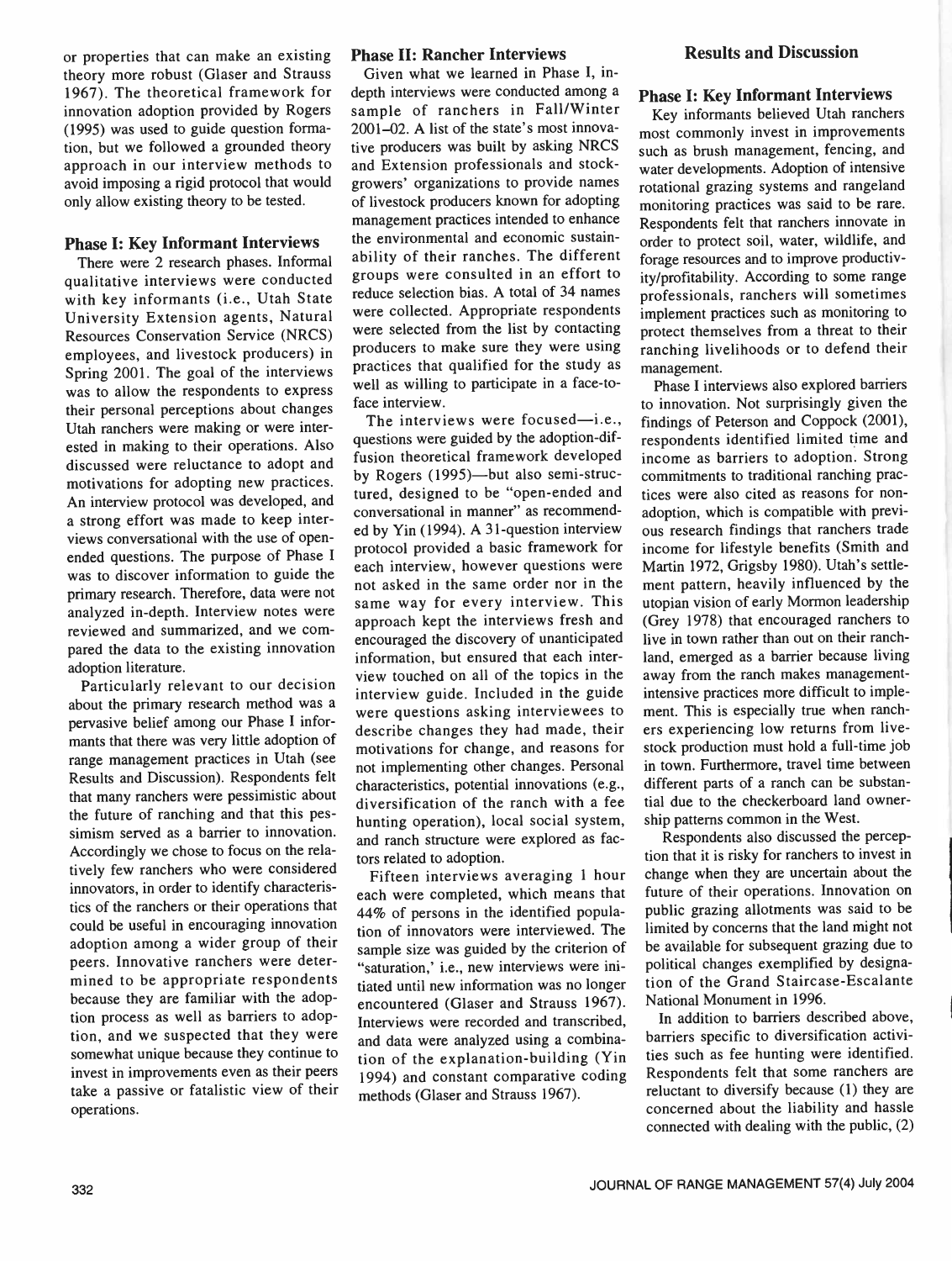or properties that can make an existing theory more robust (Glaser and Strauss 1967). The theoretical framework for innovation adoption provided by Rogers (1995) was used to guide question formation, but we followed a grounded theory approach in our interview methods to avoid imposing a rigid protocol that would only allow existing theory to be tested.

# Phase I: Key Informant Interviews

There were 2 research phases. Informal qualitative interviews were conducted with key informants (i.e., Utah State University Extension agents, Natural Resources Conservation Service (NRCS) employees, and livestock producers) in Spring 2001. The goal of the interviews was to allow the respondents to express their personal perceptions about changes Utah ranchers were making or were interested in making to their operations. Also discussed were reluctance to adopt and motivations for adopting new practices. An interview protocol was developed, and a strong effort was made to keep interviews conversational with the use of open ended questions. The purpose of Phase I was to discover information to guide the primary research. Therefore, data were not analyzed in-depth. Interview notes were reviewed and summarized, and we compared the data to the existing innovation adoption literature.

Particularly relevant to our decision about the primary research method was a pervasive belief among our Phase I informants that there was very little adoption of range management practices in Utah (see Results and Discussion). Respondents felt that many ranchers were pessimistic about the future of ranching and that this pessimism served as a barrier to innovation. Accordingly we chose to focus on the relatively few ranchers who were considered innovators, in order to identify characteristics of the ranchers or their operations that could be useful in encouraging innovation adoption among a wider group of their peers. Innovative ranchers were determined to be appropriate respondents because they are familiar with the adoption process as well as barriers to adoption, and we suspected that they were somewhat unique because they continue to invest in improvements even as their peers take a passive or fatalistic view of their operations.

# Phase II: Rancher Interviews

Given what we learned in Phase I, indepth interviews were conducted among a sample of ranchers in Fall/Winter 2001-02. A list of the state's most innovative producers was built by asking NRCS and Extension professionals and stock growers' organizations to provide names of livestock producers known for adopting management practices intended to enhance the environmental and economic sustain ability of their ranches. The different groups were consulted in an effort to reduce selection bias. A total of 34 names were collected. Appropriate respondents were selected from the list by contacting producers to make sure they were using practices that qualified for the study as well as willing to participate in a face-toface interview.

The interviews were focused-i.e., questions were guided by the adoption -diffusion theoretical framework developed by Rogers (1995)—but also semi-structured, designed to be "open -ended and conversational in manner" as recommended by Yin (1994). A 31-question interview protocol provided a basic framework for each interview, however questions were not asked in the same order nor in the same way for every interview. This approach kept the interviews fresh and encouraged the discovery of unanticipated information, but ensured that each interview touched on all of the topics in the interview guide. Included in the guide were questions asking interviewees to describe changes they had made, their motivations for change, and reasons for not implementing other changes. Personal characteristics, potential innovations (e.g., diversification of the ranch with a fee hunting operation), local social system, and ranch structure were explored as factors related to adoption.

Fifteen interviews averaging 1 hour each were completed, which means that 44% of persons in the identified population of innovators were interviewed. The sample size was guided by the criterion of "saturation,' i.e., new interviews were initiated until new information was no longer encountered (Glaser and Strauss 1967). Interviews were recorded and transcribed, and data were analyzed using a combination of the explanation building (Yin 1994) and constant comparative coding methods (Glaser and Strauss 1967).

## Phase I: Key Informant Interviews

Key informants believed Utah ranchers most commonly invest in improvements such as brush management, fencing, and water developments. Adoption of intensive rotational grazing systems and rangeland monitoring practices was said to be rare. Respondents felt that ranchers innovate in order to protect soil, water, wildlife, and forage resources and to improve productivity/profitability. According to some range professionals, ranchers will sometimes implement practices such as monitoring to protect themselves from a threat to their ranching livelihoods or to defend their management.

Phase I interviews also explored barriers to innovation. Not surprisingly given the findings of Peterson and Coppock (2001), respondents identified limited time and income as barriers to adoption. Strong commitments to traditional ranching practices were also cited as reasons for non adoption, which is compatible with previous research findings that ranchers trade income for lifestyle benefits (Smith and Martin 1972, Grigsby 1980). Utah's settlement pattern, heavily influenced by the utopian vision of early Mormon leadership (Grey 1978) that encouraged ranchers to live in town rather than out on their ranchland, emerged as a barrier because living away from the ranch makes management intensive practices more difficult to implement. This is especially true when ranchers experiencing low returns from livestock production must hold a full-time job in town. Furthermore, travel time between different parts of a ranch can be substantial due to the checkerboard land ownership patterns common in the West.

Respondents also discussed the perception that it is risky for ranchers to invest in change when they are uncertain about the future of their operations. Innovation on public grazing allotments was said to be limited by concerns that the land might not be available for subsequent grazing due to political changes exemplified by designation of the Grand Staircase Escalante National Monument in 1996.

In addition to barriers described above, barriers specific to diversification activities such as fee hunting were identified. Respondents felt that some ranchers are reluctant to diversify because (1) they are concerned about the liability and hassle connected with dealing with the public, (2)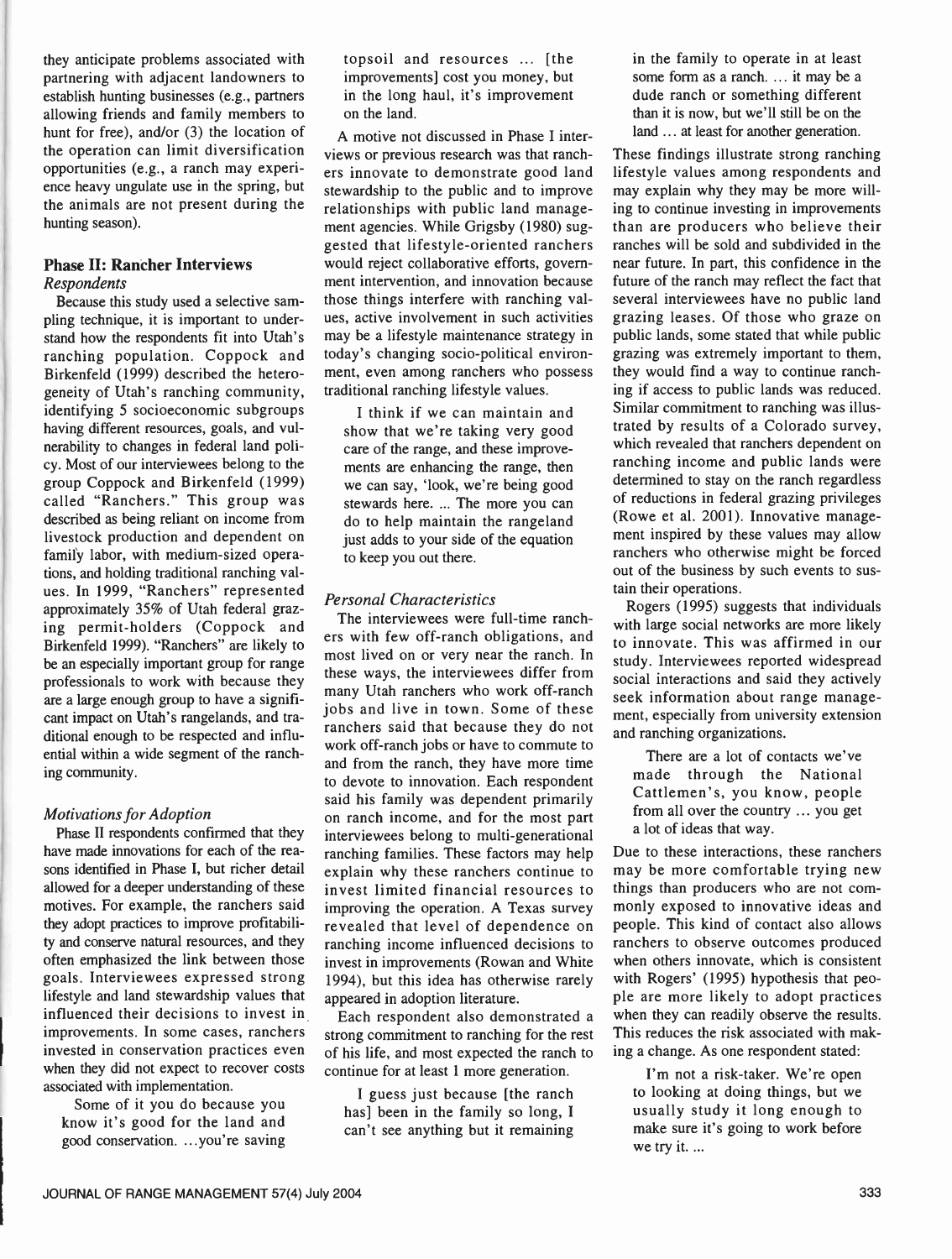they anticipate problems associated with partnering with adjacent landowners to establish hunting businesses (e.g., partners allowing friends and family members to hunt for free), and/or (3) the location of the operation can limit diversification opportunities (e.g., a ranch may experience heavy ungulate use in the spring, but the animals are not present during the hunting season).

## Phase II: Rancher Interviews Respondents

Because this study used a selective sampling technique, it is important to understand how the respondents fit into Utah's ranching population. Coppock and Birkenfeld (1999) described the heterogeneity of Utah's ranching community, identifying 5 socioeconomic subgroups having different resources, goals, and vulnerability to changes in federal land policy. Most of our interviewees belong to the group Coppock and Birkenfeld (1999) called "Ranchers." This group was described as being reliant on income from livestock production and dependent on family labor, with medium-sized operations, and holding traditional ranching values. In 1999, "Ranchers" represented approximately 35% of Utah federal grazing permit-holders (Coppock and Birkenfeld 1999). "Ranchers" are likely to be an especially important group for range professionals to work with because they are a large enough group to have a significant impact on Utah's rangelands, and traditional enough to be respected and influential within a wide segment of the ranching community.

#### Motivations for Adoption

Phase II respondents confirmed that they have made innovations for each of the reasons identified in Phase I, but richer detail allowed for a deeper understanding of these motives. For example, the ranchers said they adopt practices to improve profitability and conserve natural resources, and they often emphasized the link between those goals. Interviewees expressed strong lifestyle and land stewardship values that influenced their decisions to invest in improvements. In some cases, ranchers invested in conservation practices even when they did not expect to recover costs associated with implementation.

Some of it you do because you know it's good for the land and good conservation.... you're saving topsoil and resources ... [the improvements] cost you money, but in the long haul, it's improvement on the land.

A motive not discussed in Phase I interviews or previous research was that ranchers innovate to demonstrate good land stewardship to the public and to improve relationships with public land management agencies. While Grigsby (1980) suggested that lifestyle- oriented ranchers would reject collaborative efforts, government intervention, and innovation because those things interfere with ranching values, active involvement in such activities may be a lifestyle maintenance strategy in today's changing socio-political environment, even among ranchers who possess traditional ranching lifestyle values.

I think if we can maintain and show that we're taking very good care of the range, and these improvements are enhancing the range, then we can say, `look, we're being good stewards here. ... The more you can do to help maintain the rangeland just adds to your side of the equation to keep you out there.

# Personal Characteristics

The interviewees were full-time ranchers with few off-ranch obligations, and most lived on or very near the ranch. In these ways, the interviewees differ from many Utah ranchers who work off-ranch jobs and live in town. Some of these ranchers said that because they do not work off-ranch jobs or have to commute to and from the ranch, they have more time to devote to innovation. Each respondent said his family was dependent primarily on ranch income, and for the most part interviewees belong to multi-generational ranching families. These factors may help explain why these ranchers continue to invest limited financial resources to improving the operation. A Texas survey revealed that level of dependence on ranching income influenced decisions to invest in improvements (Rowan and White 1994), but this idea has otherwise rarely appeared in adoption literature.

Each respondent also demonstrated a strong commitment to ranching for the rest of his life, and most expected the ranch to continue for at least 1 more generation.

I guess just because [the ranch has] been in the family so long, I can't see anything but it remaining in the family to operate in at least some form as a ranch. ... it may be a dude ranch or something different than it is now, but we'll still be on the land ... at least for another generation.

These findings illustrate strong ranching lifestyle values among respondents and may explain why they may be more willing to continue investing in improvements than are producers who believe their ranches will be sold and subdivided in the near future. In part, this confidence in the future of the ranch may reflect the fact that several interviewees have no public land grazing leases. Of those who graze on public lands, some stated that while public grazing was extremely important to them, they would find a way to continue ranching if access to public lands was reduced. Similar commitment to ranching was illustrated by results of a Colorado survey, which revealed that ranchers dependent on ranching income and public lands were determined to stay on the ranch regardless of reductions in federal grazing privileges (Rowe et al. 2001). Innovative management inspired by these values may allow ranchers who otherwise might be forced out of the business by such events to sustain their operations.

Rogers (1995) suggests that individuals with large social networks are more likely to innovate. This was affirmed in our study. Interviewees reported widespread social interactions and said they actively seek information about range management, especially from university extension and ranching organizations.

There are a lot of contacts we've made through the National Cattlemen's, you know, people from all over the country ... you get a lot of ideas that way.

Due to these interactions, these ranchers may be more comfortable trying new things than producers who are not commonly exposed to innovative ideas and people. This kind of contact also allows ranchers to observe outcomes produced when others innovate, which is consistent with Rogers' (1995) hypothesis that people are more likely to adopt practices when they can readily observe the results. This reduces the risk associated with making a change. As one respondent stated:

I'm not a risk-taker. We're open to looking at doing things, but we usually study it long enough to make sure it's going to work before we try it...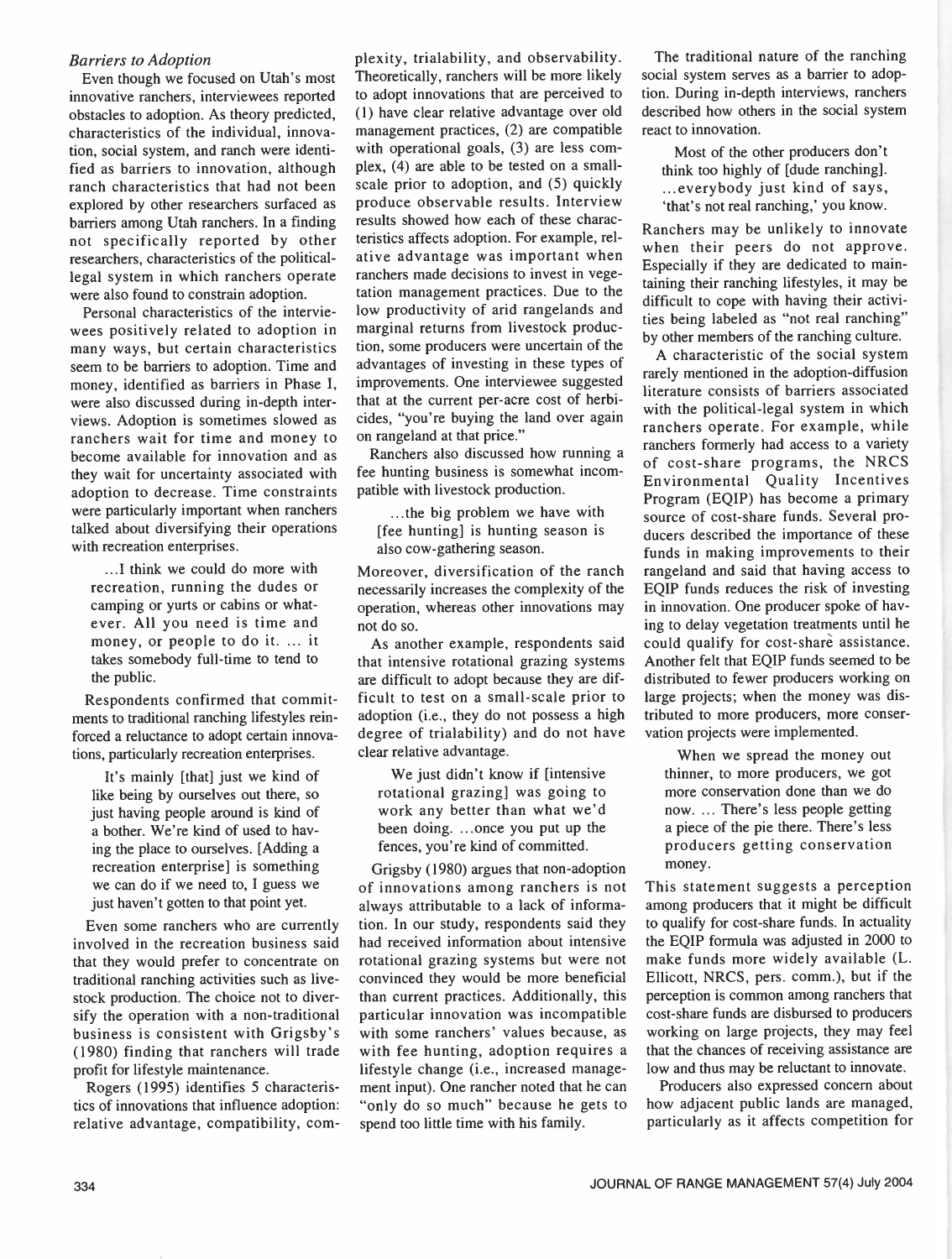## Barriers to Adoption

Even though we focused on Utah's most innovative ranchers, interviewees reported obstacles to adoption. As theory predicted, characteristics of the individual, innovation, social system, and ranch were identified as barriers to innovation, although ranch characteristics that had not been explored by other researchers surfaced as barriers among Utah ranchers. In a finding not specifically reported by other researchers, characteristics of the political legal system in which ranchers operate were also found to constrain adoption.

Personal characteristics of the interviewees positively related to adoption in many ways, but certain characteristics seem to be barriers to adoption. Time and money, identified as barriers in Phase I, were also discussed during in -depth interviews. Adoption is sometimes slowed as ranchers wait for time and money to become available for innovation and as they wait for uncertainty associated with adoption to decrease. Time constraints were particularly important when ranchers talked about diversifying their operations with recreation enterprises.

...I think we could do more with recreation, running the dudes or camping or yurts or cabins or whatever. All you need is time and money, or people to do it. ... it takes somebody full-time to tend to the public.

Respondents confirmed that commitments to traditional ranching lifestyles reinforced a reluctance to adopt certain innovations, particularly recreation enterprises.

It's mainly [that] just we kind of like being by ourselves out there, so just having people around is kind of a bother. We're kind of used to having the place to ourselves. [Adding a recreation enterprise] is something we can do if we need to, I guess we just haven't gotten to that point yet.

Even some ranchers who are currently involved in the recreation business said that they would prefer to concentrate on traditional ranching activities such as livestock production. The choice not to diversify the operation with a non-traditional business is consistent with Grigsby's (1980) finding that ranchers will trade profit for lifestyle maintenance.

Rogers (1995) identifies 5 characteristics of innovations that influence adoption: relative advantage, compatibility, complexity, trialability, and observability. Theoretically, ranchers will be more likely to adopt innovations that are perceived to (1) have clear relative advantage over old management practices, (2) are compatible with operational goals, (3) are less complex, (4) are able to be tested on a small scale prior to adoption, and (5) quickly produce observable results. Interview results showed how each of these characteristics affects adoption. For example, relative advantage was important when ranchers made decisions to invest in vegetation management practices. Due to the low productivity of arid rangelands and marginal returns from livestock production, some producers were uncertain of the advantages of investing in these types of improvements. One interviewee suggested that at the current per -acre cost of herbicides, "you're buying the land over again on rangeland at that price."

Ranchers also discussed how running a fee hunting business is somewhat incompatible with livestock production.

...the big problem we have with [fee hunting] is hunting season is also cow-gathering season.

Moreover, diversification of the ranch necessarily increases the complexity of the operation, whereas other innovations may not do so.

As another example, respondents said that intensive rotational grazing systems are difficult to adopt because they are difficult to test on a small-scale prior to adoption (i.e., they do not possess a high degree of trialability) and do not have clear relative advantage.

We just didn't know if [intensive rotational grazing] was going to work any better than what we'd been doing.... once you put up the fences, you're kind of committed.

Grigsby (1980) argues that non adoption of innovations among ranchers is not always attributable to a lack of information. In our study, respondents said they had received information about intensive rotational grazing systems but were not convinced they would be more beneficial than current practices. Additionally, this particular innovation was incompatible with some ranchers' values because, as with fee hunting, adoption requires a lifestyle change (i.e., increased management input). One rancher noted that he can "only do so much" because he gets to spend too little time with his family.

The traditional nature of the ranching social system serves as a barrier to adoption. During in -depth interviews, ranchers described how others in the social system react to innovation.

Most of the other producers don't think too highly of [dude ranching]. ...everybody just kind of says, `that's not real ranching,' you know.

Ranchers may be unlikely to innovate when their peers do not approve. Especially if they are dedicated to maintaining their ranching lifestyles, it may be difficult to cope with having their activities being labeled as "not real ranching" by other members of the ranching culture.

A characteristic of the social system rarely mentioned in the adoption-diffusion literature consists of barriers associated with the political-legal system in which ranchers operate. For example, while ranchers formerly had access to a variety of cost-share programs, the NRCS Environmental Quality Incentives Program (EQIP) has become a primary source of cost-share funds. Several producers described the importance of these funds in making improvements to their rangeland and said that having access to EQIP funds reduces the risk of investing in innovation. One producer spoke of having to delay vegetation treatments until he could qualify for cost -share assistance. Another felt that EQIP funds seemed to be distributed to fewer producers working on large projects; when the money was distributed to more producers, more conservation projects were implemented.

When we spread the money out thinner, to more producers, we got more conservation done than we do now. ... There's less people getting a piece of the pie there. There's less producers getting conservation money.

This statement suggests a perception among producers that it might be difficult to qualify for cost -share funds. In actuality the EQIP formula was adjusted in 2000 to make funds more widely available (L. Ellicott, NRCS, pers. comm.), but if the perception is common among ranchers that cost -share funds are disbursed to producers working on large projects, they may feel that the chances of receiving assistance are low and thus may be reluctant to innovate.

Producers also expressed concern about how adjacent public lands are managed, particularly as it affects competition for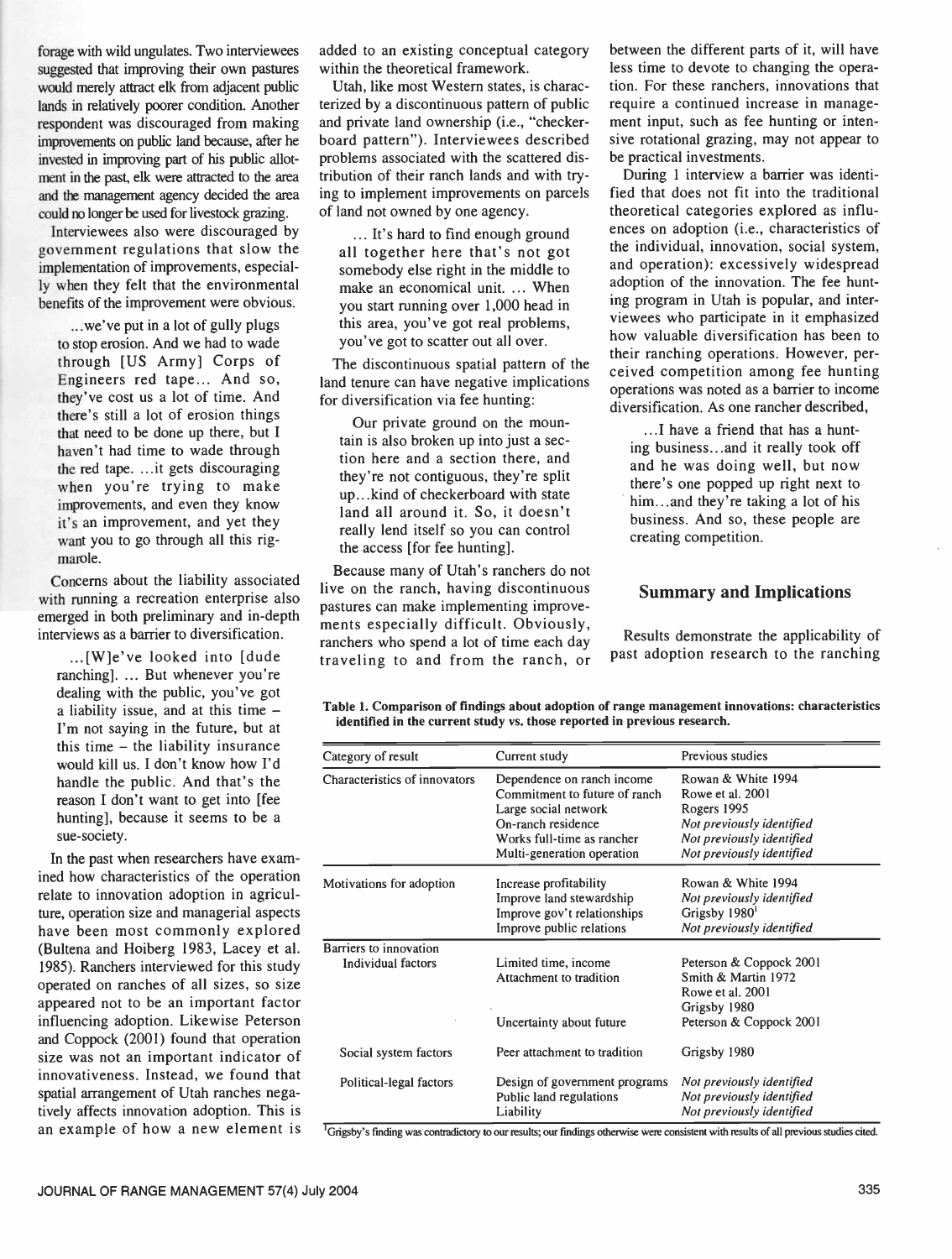forage with wild ungulates. Two interviewees suggested that improving their own pastures would merely attract elk from adjacent public lands in relatively poorer condition. Another respondent was discouraged from making improvements on public land because, after he invested in improving part of his public allotment in the past, elk were attracted to the area and the management agency decided the area could no longer be used for livestock grazing.

Interviewees also were discouraged by government regulations that slow the implementation of improvements, especially when they felt that the environmental benefits of the improvement were obvious.

...we've put in a lot of gully plugs to stop erosion. And we had to wade through [US Army] Corps of Engineers red tape... And so, they've cost us a lot of time. And there's still a lot of erosion things that need to be done up there, but I haven't had time to wade through the red tape. ...it gets discouraging when you're trying to make improvements, and even they know it's an improvement, and yet they want you to go through all this rigmarole.

Concerns about the liability associated with running a recreation enterprise also emerged in both preliminary and in -depth interviews as a barrier to diversification.

... [W]e've looked into [dude ranching]. ... But whenever you're dealing with the public, you've got a liability issue, and at this time I'm not saying in the future, but at this time  $-$  the liability insurance would kill us. I don't know how I'd handle the public. And that's the reason I don't want to get into [fee hunting], because it seems to be a sue-society.

In the past when researchers have examined how characteristics of the operation relate to innovation adoption in agriculture, operation size and managerial aspects have been most commonly explored (Bultena and Hoiberg 1983, Lacey et al. 1985). Ranchers interviewed for this study operated on ranches of all sizes, so size appeared not to be an important factor influencing adoption. Likewise Peterson and Coppock (2001) found that operation size was not an important indicator of innovativeness. Instead, we found that spatial arrangement of Utah ranches negatively affects innovation adoption. This is an example of how a new element is

added to an existing conceptual category within the theoretical framework.

Utah, like most Western states, is characterized by a discontinuous pattern of public and private land ownership (i.e., "checkerboard pattern"). Interviewees described problems associated with the scattered distribution of their ranch lands and with trying to implement improvements on parcels of land not owned by one agency.

... It's hard to find enough ground all together here that's not got somebody else right in the middle to make an economical unit. ... When you start running over 1,000 head in this area, you've got real problems, you've got to scatter out all over.

The discontinuous spatial pattern of the land tenure can have negative implications for diversification via fee hunting:

Our private ground on the mountain is also broken up into just a section here and a section there, and they're not contiguous, they're split up...kind of checkerboard with state land all around it. So, it doesn't really lend itself so you can control the access [for fee hunting].

Because many of Utah's ranchers do not live on the ranch, having discontinuous pastures can make implementing improvements especially difficult. Obviously, ranchers who spend a lot of time each day traveling to and from the ranch, or between the different parts of it, will have less time to devote to changing the operation. For these ranchers, innovations that require a continued increase in management input, such as fee hunting or intensive rotational grazing, may not appear to be practical investments.

During 1 interview a barrier was identified that does not fit into the traditional theoretical categories explored as influences on adoption (i.e., characteristics of the individual, innovation, social system, and operation): excessively widespread adoption of the innovation. The fee hunting program in Utah is popular, and interviewees who participate in it emphasized how valuable diversification has been to their ranching operations. However, perceived competition among fee hunting operations was noted as a barrier to income diversification. As one rancher described,

...I have a friend that has a hunting business...and it really took off and he was doing well, but now there's one popped up right next to him... and they're taking a lot of his business. And so, these people are creating competition.

## Summary and Implications

Results demonstrate the applicability of past adoption research to the ranching

Table 1. Comparison of findings about adoption of range management innovations: characteristics identified in the current study vs. those reported in previous research.

| Category of result                           | Current study                                                                                                                                                         | Previous studies                                                                                                                             |
|----------------------------------------------|-----------------------------------------------------------------------------------------------------------------------------------------------------------------------|----------------------------------------------------------------------------------------------------------------------------------------------|
| Characteristics of innovators                | Dependence on ranch income<br>Commitment to future of ranch<br>Large social network<br>On-ranch residence<br>Works full-time as rancher<br>Multi-generation operation | Rowan & White 1994<br>Rowe et al. 2001<br>Rogers 1995<br>Not previously identified<br>Not previously identified<br>Not previously identified |
| Motivations for adoption                     | Increase profitability<br>Improve land stewardship<br>Improve gov't relationships<br>Improve public relations                                                         | Rowan & White 1994<br>Not previously identified<br>Grigsby 1980 <sup>1</sup><br>Not previously identified                                    |
| Barriers to innovation<br>Individual factors | Limited time, income<br>Attachment to tradition<br>Uncertainty about future                                                                                           | Peterson & Coppock 2001<br>Smith & Martin 1972<br>Rowe et al. 2001<br>Grigsby 1980<br>Peterson & Coppock 2001                                |
| Social system factors                        | Peer attachment to tradition                                                                                                                                          | Grigsby 1980                                                                                                                                 |
| Political-legal factors                      | Design of government programs<br>Public land regulations<br>Liability                                                                                                 | Not previously identified<br>Not previously identified<br>Not previously identified                                                          |

'Grigsby's finding was contradictory to our results; our findings otherwise were consistent with results of all previous studies cited.